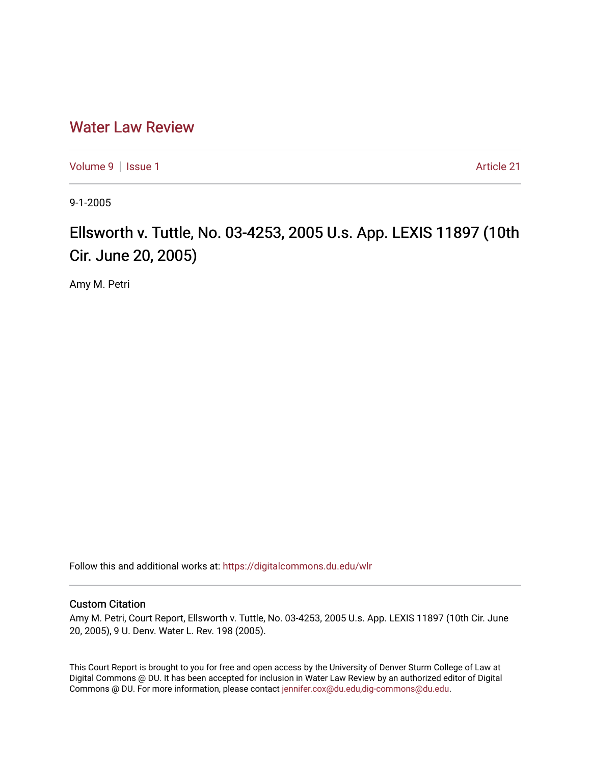## [Water Law Review](https://digitalcommons.du.edu/wlr)

[Volume 9](https://digitalcommons.du.edu/wlr/vol9) | [Issue 1](https://digitalcommons.du.edu/wlr/vol9/iss1) Article 21

9-1-2005

# Ellsworth v. Tuttle, No. 03-4253, 2005 U.s. App. LEXIS 11897 (10th Cir. June 20, 2005)

Amy M. Petri

Follow this and additional works at: [https://digitalcommons.du.edu/wlr](https://digitalcommons.du.edu/wlr?utm_source=digitalcommons.du.edu%2Fwlr%2Fvol9%2Fiss1%2F21&utm_medium=PDF&utm_campaign=PDFCoverPages) 

#### Custom Citation

Amy M. Petri, Court Report, Ellsworth v. Tuttle, No. 03-4253, 2005 U.s. App. LEXIS 11897 (10th Cir. June 20, 2005), 9 U. Denv. Water L. Rev. 198 (2005).

This Court Report is brought to you for free and open access by the University of Denver Sturm College of Law at Digital Commons @ DU. It has been accepted for inclusion in Water Law Review by an authorized editor of Digital Commons @ DU. For more information, please contact [jennifer.cox@du.edu,dig-commons@du.edu.](mailto:jennifer.cox@du.edu,dig-commons@du.edu)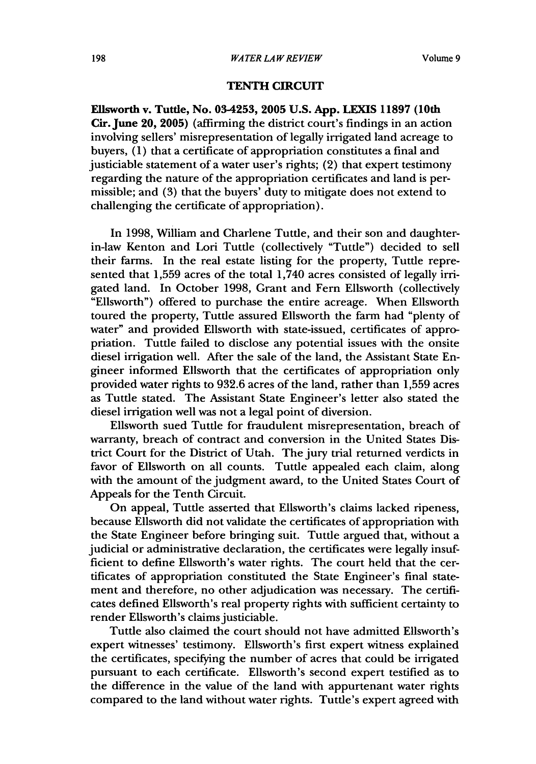### **TENTH** CIRCUIT

Elisworth v. Tuttle, No. **03-4253, 2005 U.S. App. LEXIS 11897** (10th Cir. June **20, 2005)** (affirming the district court's findings in an action involving sellers' misrepresentation of legally irrigated land acreage to buyers, (1) that a certificate of appropriation constitutes a final and justiciable statement of a water user's rights; (2) that expert testimony regarding the nature of the appropriation certificates and land is permissible; and **(3)** that the buyers' duty to mitigate does not extend to challenging the certificate of appropriation).

In 1998, William and Charlene Tuttle, and their son and daughterin-law Kenton and Lori Tuttle (collectively "Tuttle") decided to sell their farms. In the real estate listing for the property, Tuttle represented that **1,559** acres of the total 1,740 acres consisted of legally irrigated land. In October 1998, Grant and Fern Ellsworth (collectively "Ellsworth") offered to purchase the entire acreage. When Ellsworth toured the property, Tuttle assured Ellsworth the farm had "plenty of water" and provided Ellsworth with state-issued, certificates of appropriation. Tuttle failed to disclose any potential issues with the onsite diesel irrigation well. After the sale of the land, the Assistant State Engineer informed Ellsworth that the certificates of appropriation only provided water rights to 932.6 acres of the land, rather than **1,559** acres as Tuttle stated. The Assistant State Engineer's letter also stated the diesel irrigation well was not a legal point of diversion.

Ellsworth sued Tuttle for fraudulent misrepresentation, breach of warranty, breach of contract and conversion in the United States District Court for the District of Utah. The jury trial returned verdicts in favor of Ellsworth on all counts. Tuttle appealed each claim, along with the amount of the judgment award, to the United States Court of Appeals for the Tenth Circuit.

On appeal, Tuttle asserted that Ellsworth's claims lacked ripeness, because Ellsworth did not validate the certificates of appropriation with the State Engineer before bringing suit. Tuttle argued that, without a judicial or administrative declaration, the certificates were legally insufficient to define Ellsworth's water rights. The court held that the certificates of appropriation constituted the State Engineer's final statement and therefore, no other adjudication was necessary. The certificates defined Ellsworth's real property rights with sufficient certainty to render Ellsworth's claims justiciable.

Tuttle also claimed the court should not have admitted Ellsworth's expert witnesses' testimony. Ellsworth's first expert witness explained the certificates, specifying the number of acres that could be irrigated pursuant to each certificate. Ellsworth's second expert testified as to the difference in the value of the land with appurtenant water rights compared to the land without water rights. Tuttle's expert agreed with